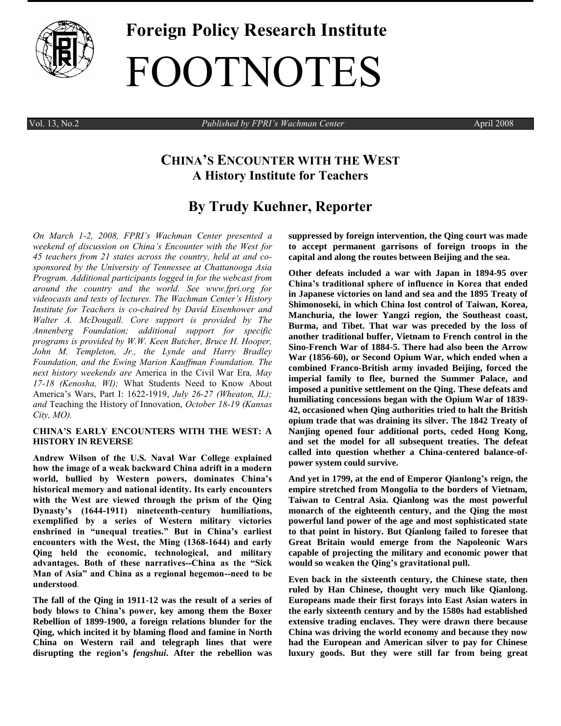

# **Foreign Policy Research Institute** FOOTNOTES

Vol. 13, No.2 *Published by FPRI's Wachman Center* April 2008

# **CHINA'S ENCOUNTER WITH THE WEST A History Institute for Teachers**

# **By Trudy Kuehner, Reporter**

*On March 1-2, 2008, FPRI's [Wachman Center](http://www.fpri.org/education/wachman.html) presented a weekend of discussion on China's Encounter with the West for 45 teachers from 21 states across the country, held at and cosponsored by the University of Tennessee at Chattanooga Asia Program. Additional participants logged in for the webcast from around the country and the world. See www.fpri.org for videocasts and texts of lectures. The Wachman Center's [History](http://www.fpri.org/education/historyacademy.html)  [Institute for Teachers](http://www.fpri.org/education/historyacademy.html) is co-chaired by [David Eisenhower](http://www.fpri.org/about/people/eisenhower.html) and [Walter A. McDougall.](http://www.fpri.org/about/people/mcdougall.html) Core support is provided by The Annenberg Foundation; additional support for specific programs is provided by W.W. Keen Butcher, Bruce H. Hooper, John M. Templeton, Jr., the Lynde and Harry Bradley Foundation, and the Ewing Marion Kauffman Foundation. The next history weekends are* America in the Civil War Era*, May 17-18 (Kenosha, WI);* What Students Need to Know About America's Wars, Part I: 1622-1919, *July 26-27 (Wheaton, IL); and* Teaching the History of Innovation, *October 18-19 (Kansas City, MO).*

#### **CHINA'S EARLY ENCOUNTERS WITH THE WEST: A HISTORY IN REVERSE**

**Andrew Wilson of the U.S. Naval War College explained how the image of a weak backward China adrift in a modern world, bullied by Western powers, dominates China's historical memory and national identity. Its early encounters with the West are viewed through the prism of the Qing Dynasty's (1644-1911) nineteenth-century humiliations, exemplified by a series of Western military victories enshrined in "unequal treaties." But in China's earliest encounters with the West, the Ming (1368-1644) and early Qing held the economic, technological, and military advantages. Both of these narratives--China as the "Sick Man of Asia" and China as a regional hegemon--need to be understood***.*

**The fall of the Qing in 1911-12 was the result of a series of body blows to China's power, key among them the Boxer Rebellion of 1899-1900, a foreign relations blunder for the Qing, which incited it by blaming flood and famine in North China on Western rail and telegraph lines that were disrupting the region's** *fengshui***. After the rebellion was** 

**suppressed by foreign intervention, the Qing court was made to accept permanent garrisons of foreign troops in the capital and along the routes between Beijing and the sea.**

**Other defeats included a war with Japan in 1894-95 over China's traditional sphere of influence in Korea that ended in Japanese victories on land and sea and the 1895 Treaty of Shimonoseki, in which China lost control of Taiwan, Korea, Manchuria, the lower Yangzi region, the Southeast coast, Burma, and Tibet. That war was preceded by the loss of another traditional buffer, Vietnam to French control in the Sino-French War of 1884-5. There had also been the Arrow War (1856-60), or Second Opium War, which ended when a combined Franco-British army invaded Beijing, forced the imperial family to flee, burned the Summer Palace, and imposed a punitive settlement on the Qing. These defeats and humiliating concessions began with the Opium War of 1839- 42, occasioned when Qing authorities tried to halt the British opium trade that was draining its silver. The 1842 Treaty of Nanjing opened four additional ports, ceded Hong Kong, and set the model for all subsequent treaties. The defeat called into question whether a China-centered balance-ofpower system could survive.**

**And yet in 1799, at the end of Emperor Qianlong's reign, the empire stretched from Mongolia to the borders of Vietnam, Taiwan to Central Asia. Qianlong was the most powerful monarch of the eighteenth century, and the Qing the most powerful land power of the age and most sophisticated state to that point in history. But Qianlong failed to foresee that Great Britain would emerge from the Napoleonic Wars capable of projecting the military and economic power that would so weaken the Qing's gravitational pull.** 

**Even back in the sixteenth century, the Chinese state, then ruled by Han Chinese, thought very much like Qianlong. Europeans made their first forays into East Asian waters in the early sixteenth century and by the 1580s had established extensive trading enclaves. They were drawn there because China was driving the world economy and because they now had the European and American silver to pay for Chinese luxury goods. But they were still far from being great**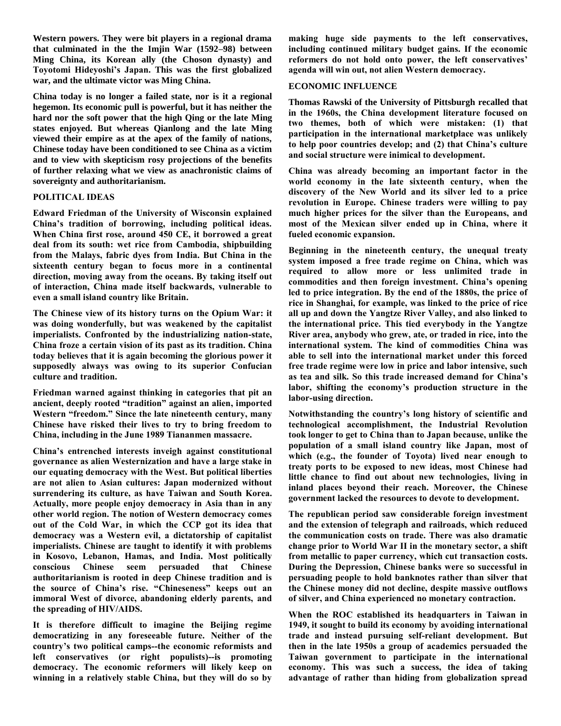**Western powers. They were bit players in a regional drama that culminated in the the Imjin War (1592–98) between Ming China, its Korean ally (the Choson dynasty) and Toyotomi Hideyoshi's Japan. This was the first globalized war, and the ultimate victor was Ming China.**

**China today is no longer a failed state, nor is it a regional hegemon. Its economic pull is powerful, but it has neither the hard nor the soft power that the high Qing or the late Ming states enjoyed. But whereas Qianlong and the late Ming viewed their empire as at the apex of the family of nations, Chinese today have been conditioned to see China as a victim and to view with skepticism rosy projections of the benefits of further relaxing what we view as anachronistic claims of sovereignty and authoritarianism.**

# **POLITICAL IDEAS**

**Edward Friedman of the University of Wisconsin explained China's tradition of borrowing, including political ideas. When China first rose, around 450 CE, it borrowed a great deal from its south: wet rice from Cambodia, shipbuilding from the Malays, fabric dyes from India. But China in the sixteenth century began to focus more in a continental direction, moving away from the oceans. By taking itself out of interaction, China made itself backwards, vulnerable to even a small island country like Britain.** 

**The Chinese view of its history turns on the Opium War: it was doing wonderfully, but was weakened by the capitalist imperialists. Confronted by the industrializing nation-state, China froze a certain vision of its past as its tradition. China today believes that it is again becoming the glorious power it supposedly always was owing to its superior Confucian culture and tradition.**

**Friedman warned against thinking in categories that pit an ancient, deeply rooted "tradition" against an alien, imported Western "freedom." Since the late nineteenth century, many Chinese have risked their lives to try to bring freedom to China, including in the June 1989 Tiananmen massacre.** 

**China's entrenched interests inveigh against constitutional governance as alien Westernization and have a large stake in our equating democracy with the West. But political liberties are not alien to Asian cultures: Japan modernized without surrendering its culture, as have Taiwan and South Korea. Actually, more people enjoy democracy in Asia than in any other world region. The notion of Western democracy comes out of the Cold War, in which the CCP got its idea that democracy was a Western evil, a dictatorship of capitalist imperialists. Chinese are taught to identify it with problems in Kosovo, Lebanon, Hamas, and India. Most politically conscious Chinese seem persuaded that Chinese authoritarianism is rooted in deep Chinese tradition and is the source of China's rise. "Chineseness" keeps out an immoral West of divorce, abandoning elderly parents, and the spreading of HIV/AIDS.** 

**It is therefore difficult to imagine the Beijing regime democratizing in any foreseeable future. Neither of the country's two political camps--the economic reformists and left conservatives (or right populists)--is promoting democracy. The economic reformers will likely keep on winning in a relatively stable China, but they will do so by** 

**making huge side payments to the left conservatives, including continued military budget gains. If the economic reformers do not hold onto power, the left conservatives' agenda will win out, not alien Western democracy.** 

## **ECONOMIC INFLUENCE**

**Thomas Rawski of the University of Pittsburgh recalled that in the 1960s, the China development literature focused on two themes, both of which were mistaken: (1) that participation in the international marketplace was unlikely to help poor countries develop; and (2) that China's culture and social structure were inimical to development.** 

**China was already becoming an important factor in the world economy in the late sixteenth century, when the discovery of the New World and its silver led to a price revolution in Europe. Chinese traders were willing to pay much higher prices for the silver than the Europeans, and most of the Mexican silver ended up in China, where it fueled economic expansion.** 

**Beginning in the nineteenth century, the unequal treaty system imposed a free trade regime on China, which was required to allow more or less unlimited trade in commodities and then foreign investment. China's opening led to price integration. By the end of the 1880s, the price of rice in Shanghai, for example, was linked to the price of rice all up and down the Yangtze River Valley, and also linked to the international price. This tied everybody in the Yangtze River area, anybody who grew, ate, or traded in rice, into the international system. The kind of commodities China was able to sell into the international market under this forced free trade regime were low in price and labor intensive, such as tea and silk. So this trade increased demand for China's labor, shifting the economy's production structure in the labor-using direction.**

**Notwithstanding the country's long history of scientific and technological accomplishment, the Industrial Revolution took longer to get to China than to Japan because, unlike the population of a small island country like Japan, most of which (e.g., the founder of Toyota) lived near enough to treaty ports to be exposed to new ideas, most Chinese had little chance to find out about new technologies, living in inland places beyond their reach. Moreover, the Chinese government lacked the resources to devote to development.**

**The republican period saw considerable foreign investment and the extension of telegraph and railroads, which reduced the communication costs on trade. There was also dramatic change prior to World War II in the monetary sector, a shift from metallic to paper currency, which cut transaction costs. During the Depression, Chinese banks were so successful in persuading people to hold banknotes rather than silver that the Chinese money did not decline, despite massive outflows of silver, and China experienced no monetary contraction.**

**When the ROC established its headquarters in Taiwan in 1949, it sought to build its economy by avoiding international trade and instead pursuing self-reliant development. But then in the late 1950s a group of academics persuaded the Taiwan government to participate in the international economy. This was such a success, the idea of taking advantage of rather than hiding from globalization spread**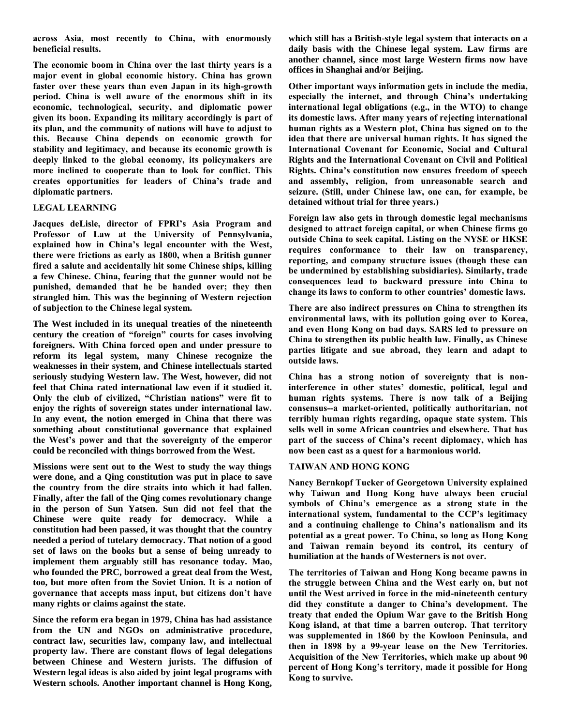**across Asia, most recently to China, with enormously beneficial results.**

**The economic boom in China over the last thirty years is a major event in global economic history. China has grown faster over these years than even Japan in its high-growth period. China is well aware of the enormous shift in its economic, technological, security, and diplomatic power given its boon. Expanding its military accordingly is part of its plan, and the community of nations will have to adjust to this. Because China depends on economic growth for stability and legitimacy, and because its economic growth is deeply linked to the global economy, its policymakers are more inclined to cooperate than to look for conflict. This creates opportunities for leaders of China's trade and diplomatic partners.**

## **LEGAL LEARNING**

**Jacques deLisle, director of FPRI's Asia Program and Professor of Law at the University of Pennsylvania, explained how in China's legal encounter with the West, there were frictions as early as 1800, when a British gunner fired a salute and accidentally hit some Chinese ships, killing a few Chinese. China, fearing that the gunner would not be punished, demanded that he be handed over; they then strangled him. This was the beginning of Western rejection of subjection to the Chinese legal system.**

**The West included in its unequal treaties of the nineteenth century the creation of "foreign" courts for cases involving foreigners. With China forced open and under pressure to reform its legal system, many Chinese recognize the weaknesses in their system, and Chinese intellectuals started seriously studying Western law. The West, however, did not feel that China rated international law even if it studied it. Only the club of civilized, "Christian nations" were fit to enjoy the rights of sovereign states under international law. In any event, the notion emerged in China that there was something about constitutional governance that explained the West's power and that the sovereignty of the emperor could be reconciled with things borrowed from the West.** 

**Missions were sent out to the West to study the way things were done, and a Qing constitution was put in place to save the country from the dire straits into which it had fallen. Finally, after the fall of the Qing comes revolutionary change in the person of Sun Yatsen. Sun did not feel that the Chinese were quite ready for democracy. While a constitution had been passed, it was thought that the country needed a period of tutelary democracy. That notion of a good set of laws on the books but a sense of being unready to implement them arguably still has resonance today. Mao, who founded the PRC, borrowed a great deal from the West, too, but more often from the Soviet Union. It is a notion of governance that accepts mass input, but citizens don't have many rights or claims against the state.** 

**Since the reform era began in 1979, China has had assistance from the UN and NGOs on administrative procedure, contract law, securities law, company law, and intellectual property law. There are constant flows of legal delegations between Chinese and Western jurists. The diffusion of Western legal ideas is also aided by joint legal programs with Western schools. Another important channel is Hong Kong,** 

**which still has a British-style legal system that interacts on a daily basis with the Chinese legal system. Law firms are another channel, since most large Western firms now have offices in Shanghai and/or Beijing.**

**Other important ways information gets in include the media, especially the internet, and through China's undertaking international legal obligations (e.g., in the WTO) to change its domestic laws. After many years of rejecting international human rights as a Western plot, China has signed on to the idea that there are universal human rights. It has signed the International Covenant for Economic, Social and Cultural Rights and the International Covenant on Civil and Political Rights. China's constitution now ensures freedom of speech and assembly, religion, from unreasonable search and seizure. (Still, under Chinese law, one can, for example, be detained without trial for three years.)**

**Foreign law also gets in through domestic legal mechanisms designed to attract foreign capital, or when Chinese firms go outside China to seek capital. Listing on the NYSE or HKSE requires conformance to their law on transparency, reporting, and company structure issues (though these can be undermined by establishing subsidiaries). Similarly, trade consequences lead to backward pressure into China to change its laws to conform to other countries' domestic laws.**

**There are also indirect pressures on China to strengthen its environmental laws, with its pollution going over to Korea, and even Hong Kong on bad days. SARS led to pressure on China to strengthen its public health law. Finally, as Chinese parties litigate and sue abroad, they learn and adapt to outside laws.** 

**China has a strong notion of sovereignty that is noninterference in other states' domestic, political, legal and human rights systems. There is now talk of a Beijing consensus--a market-oriented, politically authoritarian, not terribly human rights regarding, opaque state system. This sells well in some African countries and elsewhere. That has part of the success of China's recent diplomacy, which has now been cast as a quest for a harmonious world.**

#### **TAIWAN AND HONG KONG**

**Nancy Bernkopf Tucker of Georgetown University explained why Taiwan and Hong Kong have always been crucial symbols of China's emergence as a strong state in the international system, fundamental to the CCP's legitimacy and a continuing challenge to China's nationalism and its potential as a great power. To China, so long as Hong Kong and Taiwan remain beyond its control, its century of humiliation at the hands of Westerners is not over.** 

**The territories of Taiwan and Hong Kong became pawns in the struggle between China and the West early on, but not until the West arrived in force in the mid-nineteenth century did they constitute a danger to China's development. The treaty that ended the Opium War gave to the British Hong Kong island, at that time a barren outcrop. That territory was supplemented in 1860 by the Kowloon Peninsula, and then in 1898 by a 99-year lease on the New Territories. Acquisition of the New Territories, which make up about 90 percent of Hong Kong's territory, made it possible for Hong Kong to survive.**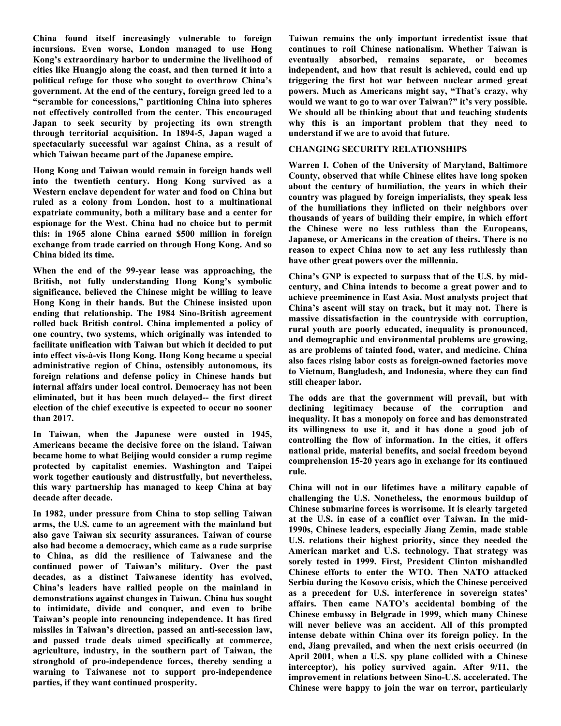**China found itself increasingly vulnerable to foreign incursions. Even worse, London managed to use Hong Kong's extraordinary harbor to undermine the livelihood of cities like Huangjo along the coast, and then turned it into a political refuge for those who sought to overthrow China's government. At the end of the century, foreign greed led to a "scramble for concessions," partitioning China into spheres not effectively controlled from the center. This encouraged Japan to seek security by projecting its own strength through territorial acquisition. In 1894-5, Japan waged a spectacularly successful war against China, as a result of which Taiwan became part of the Japanese empire.** 

**Hong Kong and Taiwan would remain in foreign hands well into the twentieth century. Hong Kong survived as a Western enclave dependent for water and food on China but ruled as a colony from London, host to a multinational expatriate community, both a military base and a center for espionage for the West. China had no choice but to permit this: in 1965 alone China earned \$500 million in foreign exchange from trade carried on through Hong Kong. And so China bided its time.**

**When the end of the 99-year lease was approaching, the British, not fully understanding Hong Kong's symbolic significance, believed the Chinese might be willing to leave Hong Kong in their hands. But the Chinese insisted upon ending that relationship. The 1984 Sino-British agreement rolled back British control. China implemented a policy of one country, two systems, which originally was intended to facilitate unification with Taiwan but which it decided to put into effect vis-à-vis Hong Kong. Hong Kong became a special administrative region of China, ostensibly autonomous, its foreign relations and defense policy in Chinese hands but internal affairs under local control. Democracy has not been eliminated, but it has been much delayed-- the first direct election of the chief executive is expected to occur no sooner than 2017.** 

**In Taiwan, when the Japanese were ousted in 1945, Americans became the decisive force on the island. Taiwan became home to what Beijing would consider a rump regime protected by capitalist enemies. Washington and Taipei work together cautiously and distrustfully, but nevertheless, this wary partnership has managed to keep China at bay decade after decade.** 

**In 1982, under pressure from China to stop selling Taiwan arms, the U.S. came to an agreement with the mainland but also gave Taiwan six security assurances. Taiwan of course also had become a democracy, which came as a rude surprise to China, as did the resilience of Taiwanese and the continued power of Taiwan's military. Over the past decades, as a distinct Taiwanese identity has evolved, China's leaders have rallied people on the mainland in demonstrations against changes in Taiwan. China has sought to intimidate, divide and conquer, and even to bribe Taiwan's people into renouncing independence. It has fired missiles in Taiwan's direction, passed an anti-secession law, and passed trade deals aimed specifically at commerce, agriculture, industry, in the southern part of Taiwan, the stronghold of pro-independence forces, thereby sending a warning to Taiwanese not to support pro-independence parties, if they want continued prosperity.**

**Taiwan remains the only important irredentist issue that continues to roil Chinese nationalism. Whether Taiwan is eventually absorbed, remains separate, or becomes independent, and how that result is achieved, could end up triggering the first hot war between nuclear armed great powers. Much as Americans might say, "That's crazy, why would we want to go to war over Taiwan?" it's very possible. We should all be thinking about that and teaching students why this is an important problem that they need to understand if we are to avoid that future.**

## **CHANGING SECURITY RELATIONSHIPS**

**Warren I. Cohen of the University of Maryland, Baltimore County, observed that while Chinese elites have long spoken about the century of humiliation, the years in which their country was plagued by foreign imperialists, they speak less of the humiliations they inflicted on their neighbors over thousands of years of building their empire, in which effort the Chinese were no less ruthless than the Europeans, Japanese, or Americans in the creation of theirs. There is no reason to expect China now to act any less ruthlessly than have other great powers over the millennia.** 

**China's GNP is expected to surpass that of the U.S. by midcentury, and China intends to become a great power and to achieve preeminence in East Asia. Most analysts project that China's ascent will stay on track, but it may not. There is massive dissatisfaction in the countryside with corruption, rural youth are poorly educated, inequality is pronounced, and demographic and environmental problems are growing, as are problems of tainted food, water, and medicine. China also faces rising labor costs as foreign-owned factories move to Vietnam, Bangladesh, and Indonesia, where they can find still cheaper labor.** 

**The odds are that the government will prevail, but with declining legitimacy because of the corruption and inequality. It has a monopoly on force and has demonstrated its willingness to use it, and it has done a good job of controlling the flow of information. In the cities, it offers national pride, material benefits, and social freedom beyond comprehension 15-20 years ago in exchange for its continued rule.** 

**China will not in our lifetimes have a military capable of challenging the U.S. Nonetheless, the enormous buildup of Chinese submarine forces is worrisome. It is clearly targeted at the U.S. in case of a conflict over Taiwan. In the mid-1990s, Chinese leaders, especially Jiang Zemin, made stable U.S. relations their highest priority, since they needed the American market and U.S. technology. That strategy was sorely tested in 1999. First, President Clinton mishandled Chinese efforts to enter the WTO. Then NATO attacked Serbia during the Kosovo crisis, which the Chinese perceived as a precedent for U.S. interference in sovereign states' affairs. Then came NATO's accidental bombing of the Chinese embassy in Belgrade in 1999, which many Chinese will never believe was an accident. All of this prompted intense debate within China over its foreign policy. In the end, Jiang prevailed, and when the next crisis occurred (in April 2001, when a U.S. spy plane collided with a Chinese interceptor), his policy survived again. After 9/11, the improvement in relations between Sino-U.S. accelerated. The Chinese were happy to join the war on terror, particularly**